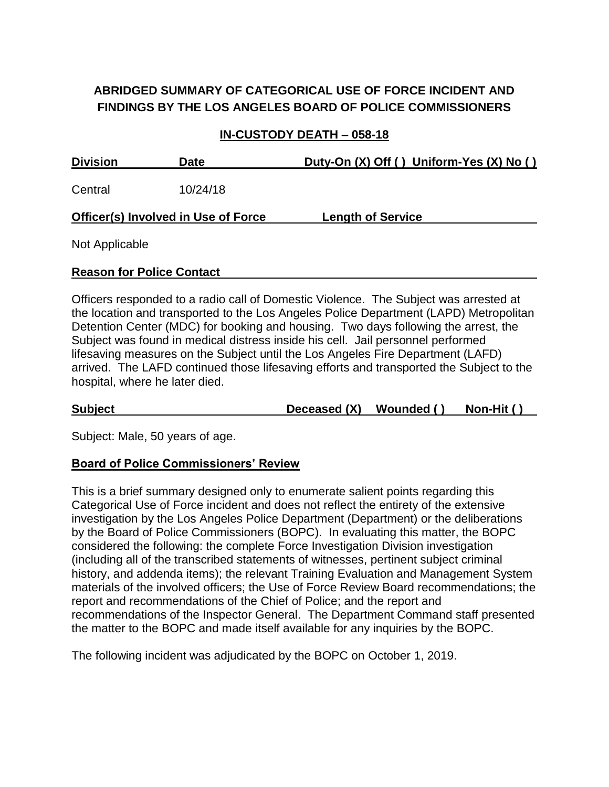# **ABRIDGED SUMMARY OF CATEGORICAL USE OF FORCE INCIDENT AND FINDINGS BY THE LOS ANGELES BOARD OF POLICE COMMISSIONERS**

### **IN-CUSTODY DEATH – 058-18**

| <b>Division</b>                            | <b>Date</b> | Duty-On (X) Off () Uniform-Yes (X) No () |
|--------------------------------------------|-------------|------------------------------------------|
| Central                                    | 10/24/18    |                                          |
| <b>Officer(s) Involved in Use of Force</b> |             | <b>Length of Service</b>                 |
| Alex Architecture                          |             |                                          |

Not Applicable

#### **Reason for Police Contact**

Officers responded to a radio call of Domestic Violence. The Subject was arrested at the location and transported to the Los Angeles Police Department (LAPD) Metropolitan Detention Center (MDC) for booking and housing. Two days following the arrest, the Subject was found in medical distress inside his cell. Jail personnel performed lifesaving measures on the Subject until the Los Angeles Fire Department (LAFD) arrived. The LAFD continued those lifesaving efforts and transported the Subject to the hospital, where he later died.

**Subject Deceased (X) Wounded ( ) Non-Hit ( )**

Subject: Male, 50 years of age.

#### **Board of Police Commissioners' Review**

This is a brief summary designed only to enumerate salient points regarding this Categorical Use of Force incident and does not reflect the entirety of the extensive investigation by the Los Angeles Police Department (Department) or the deliberations by the Board of Police Commissioners (BOPC). In evaluating this matter, the BOPC considered the following: the complete Force Investigation Division investigation (including all of the transcribed statements of witnesses, pertinent subject criminal history, and addenda items); the relevant Training Evaluation and Management System materials of the involved officers; the Use of Force Review Board recommendations; the report and recommendations of the Chief of Police; and the report and recommendations of the Inspector General. The Department Command staff presented the matter to the BOPC and made itself available for any inquiries by the BOPC.

The following incident was adjudicated by the BOPC on October 1, 2019.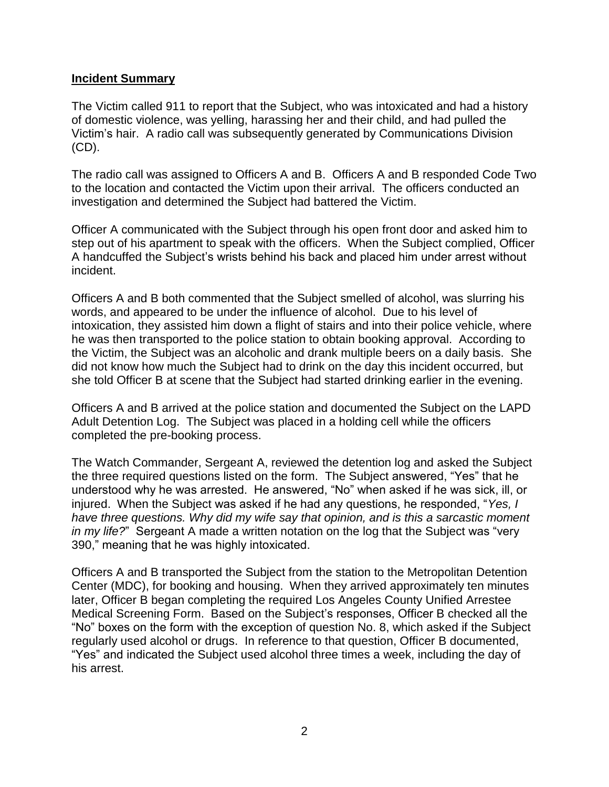#### **Incident Summary**

The Victim called 911 to report that the Subject, who was intoxicated and had a history of domestic violence, was yelling, harassing her and their child, and had pulled the Victim's hair. A radio call was subsequently generated by Communications Division (CD).

The radio call was assigned to Officers A and B. Officers A and B responded Code Two to the location and contacted the Victim upon their arrival. The officers conducted an investigation and determined the Subject had battered the Victim.

Officer A communicated with the Subject through his open front door and asked him to step out of his apartment to speak with the officers. When the Subject complied, Officer A handcuffed the Subject's wrists behind his back and placed him under arrest without incident.

Officers A and B both commented that the Subject smelled of alcohol, was slurring his words, and appeared to be under the influence of alcohol. Due to his level of intoxication, they assisted him down a flight of stairs and into their police vehicle, where he was then transported to the police station to obtain booking approval. According to the Victim, the Subject was an alcoholic and drank multiple beers on a daily basis. She did not know how much the Subject had to drink on the day this incident occurred, but she told Officer B at scene that the Subject had started drinking earlier in the evening.

Officers A and B arrived at the police station and documented the Subject on the LAPD Adult Detention Log. The Subject was placed in a holding cell while the officers completed the pre-booking process.

The Watch Commander, Sergeant A, reviewed the detention log and asked the Subject the three required questions listed on the form. The Subject answered, "Yes" that he understood why he was arrested. He answered, "No" when asked if he was sick, ill, or injured. When the Subject was asked if he had any questions, he responded, "*Yes, I have three questions. Why did my wife say that opinion, and is this a sarcastic moment in my life?*" Sergeant A made a written notation on the log that the Subject was "very 390," meaning that he was highly intoxicated.

Officers A and B transported the Subject from the station to the Metropolitan Detention Center (MDC), for booking and housing. When they arrived approximately ten minutes later, Officer B began completing the required Los Angeles County Unified Arrestee Medical Screening Form. Based on the Subject's responses, Officer B checked all the "No" boxes on the form with the exception of question No. 8, which asked if the Subject regularly used alcohol or drugs. In reference to that question, Officer B documented, "Yes" and indicated the Subject used alcohol three times a week, including the day of his arrest.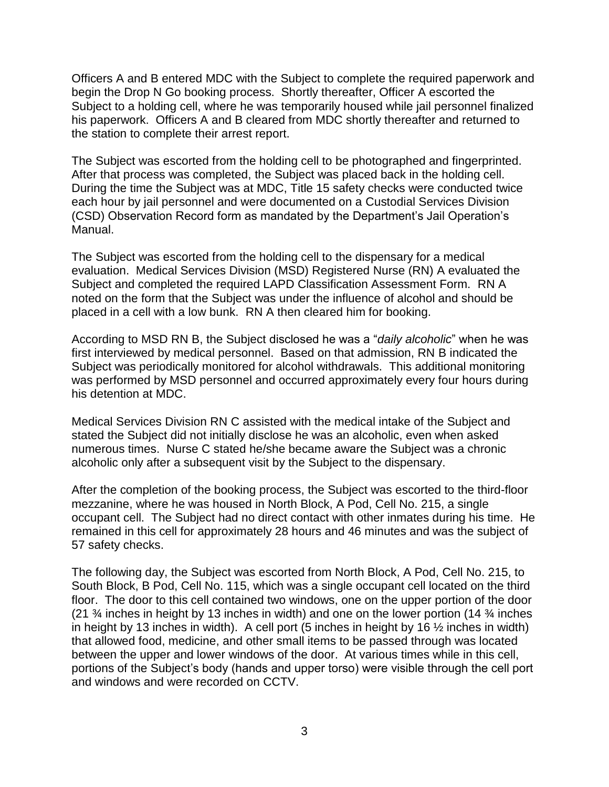Officers A and B entered MDC with the Subject to complete the required paperwork and begin the Drop N Go booking process. Shortly thereafter, Officer A escorted the Subject to a holding cell, where he was temporarily housed while jail personnel finalized his paperwork. Officers A and B cleared from MDC shortly thereafter and returned to the station to complete their arrest report.

The Subject was escorted from the holding cell to be photographed and fingerprinted. After that process was completed, the Subject was placed back in the holding cell. During the time the Subject was at MDC, Title 15 safety checks were conducted twice each hour by jail personnel and were documented on a Custodial Services Division (CSD) Observation Record form as mandated by the Department's Jail Operation's Manual.

The Subject was escorted from the holding cell to the dispensary for a medical evaluation. Medical Services Division (MSD) Registered Nurse (RN) A evaluated the Subject and completed the required LAPD Classification Assessment Form. RN A noted on the form that the Subject was under the influence of alcohol and should be placed in a cell with a low bunk. RN A then cleared him for booking.

According to MSD RN B, the Subject disclosed he was a "*daily alcoholic*" when he was first interviewed by medical personnel. Based on that admission, RN B indicated the Subject was periodically monitored for alcohol withdrawals. This additional monitoring was performed by MSD personnel and occurred approximately every four hours during his detention at MDC.

Medical Services Division RN C assisted with the medical intake of the Subject and stated the Subject did not initially disclose he was an alcoholic, even when asked numerous times. Nurse C stated he/she became aware the Subject was a chronic alcoholic only after a subsequent visit by the Subject to the dispensary.

After the completion of the booking process, the Subject was escorted to the third-floor mezzanine, where he was housed in North Block, A Pod, Cell No. 215, a single occupant cell. The Subject had no direct contact with other inmates during his time. He remained in this cell for approximately 28 hours and 46 minutes and was the subject of 57 safety checks.

The following day, the Subject was escorted from North Block, A Pod, Cell No. 215, to South Block, B Pod, Cell No. 115, which was a single occupant cell located on the third floor. The door to this cell contained two windows, one on the upper portion of the door (21 ¾ inches in height by 13 inches in width) and one on the lower portion (14 ¾ inches in height by 13 inches in width). A cell port (5 inches in height by 16  $\frac{1}{2}$  inches in width) that allowed food, medicine, and other small items to be passed through was located between the upper and lower windows of the door. At various times while in this cell, portions of the Subject's body (hands and upper torso) were visible through the cell port and windows and were recorded on CCTV.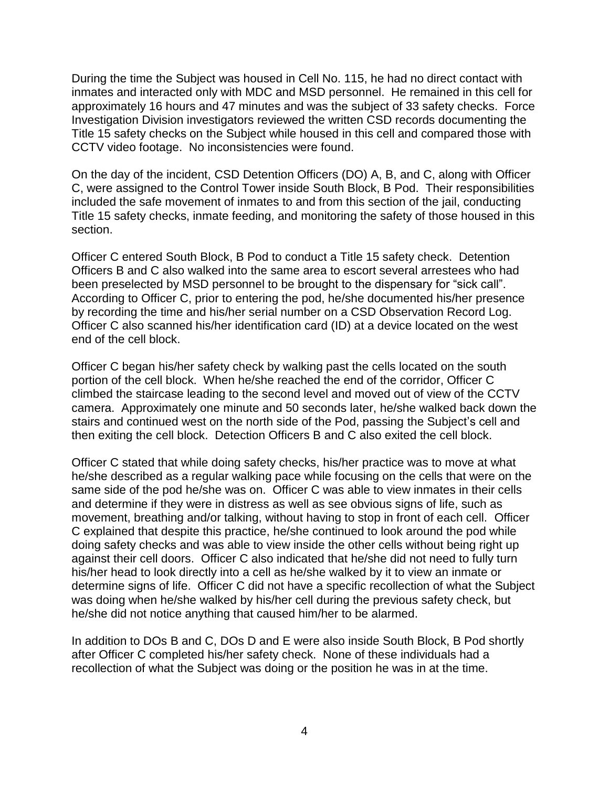During the time the Subject was housed in Cell No. 115, he had no direct contact with inmates and interacted only with MDC and MSD personnel. He remained in this cell for approximately 16 hours and 47 minutes and was the subject of 33 safety checks. Force Investigation Division investigators reviewed the written CSD records documenting the Title 15 safety checks on the Subject while housed in this cell and compared those with CCTV video footage. No inconsistencies were found.

On the day of the incident, CSD Detention Officers (DO) A, B, and C, along with Officer C, were assigned to the Control Tower inside South Block, B Pod. Their responsibilities included the safe movement of inmates to and from this section of the jail, conducting Title 15 safety checks, inmate feeding, and monitoring the safety of those housed in this section.

Officer C entered South Block, B Pod to conduct a Title 15 safety check. Detention Officers B and C also walked into the same area to escort several arrestees who had been preselected by MSD personnel to be brought to the dispensary for "sick call". According to Officer C, prior to entering the pod, he/she documented his/her presence by recording the time and his/her serial number on a CSD Observation Record Log. Officer C also scanned his/her identification card (ID) at a device located on the west end of the cell block.

Officer C began his/her safety check by walking past the cells located on the south portion of the cell block. When he/she reached the end of the corridor, Officer C climbed the staircase leading to the second level and moved out of view of the CCTV camera. Approximately one minute and 50 seconds later, he/she walked back down the stairs and continued west on the north side of the Pod, passing the Subject's cell and then exiting the cell block. Detection Officers B and C also exited the cell block.

Officer C stated that while doing safety checks, his/her practice was to move at what he/she described as a regular walking pace while focusing on the cells that were on the same side of the pod he/she was on. Officer C was able to view inmates in their cells and determine if they were in distress as well as see obvious signs of life, such as movement, breathing and/or talking, without having to stop in front of each cell. Officer C explained that despite this practice, he/she continued to look around the pod while doing safety checks and was able to view inside the other cells without being right up against their cell doors. Officer C also indicated that he/she did not need to fully turn his/her head to look directly into a cell as he/she walked by it to view an inmate or determine signs of life. Officer C did not have a specific recollection of what the Subject was doing when he/she walked by his/her cell during the previous safety check, but he/she did not notice anything that caused him/her to be alarmed.

In addition to DOs B and C, DOs D and E were also inside South Block, B Pod shortly after Officer C completed his/her safety check. None of these individuals had a recollection of what the Subject was doing or the position he was in at the time.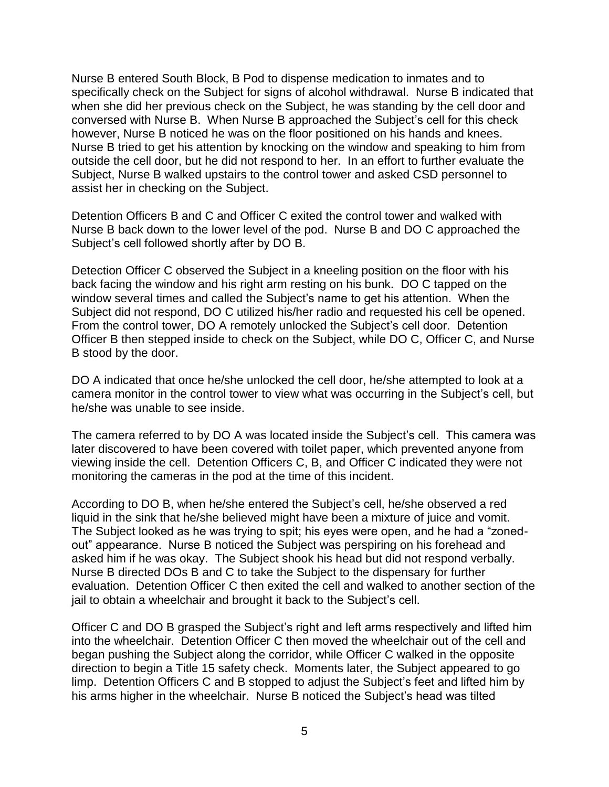Nurse B entered South Block, B Pod to dispense medication to inmates and to specifically check on the Subject for signs of alcohol withdrawal. Nurse B indicated that when she did her previous check on the Subject, he was standing by the cell door and conversed with Nurse B. When Nurse B approached the Subject's cell for this check however, Nurse B noticed he was on the floor positioned on his hands and knees. Nurse B tried to get his attention by knocking on the window and speaking to him from outside the cell door, but he did not respond to her. In an effort to further evaluate the Subject, Nurse B walked upstairs to the control tower and asked CSD personnel to assist her in checking on the Subject.

Detention Officers B and C and Officer C exited the control tower and walked with Nurse B back down to the lower level of the pod. Nurse B and DO C approached the Subject's cell followed shortly after by DO B.

Detection Officer C observed the Subject in a kneeling position on the floor with his back facing the window and his right arm resting on his bunk. DO C tapped on the window several times and called the Subject's name to get his attention. When the Subject did not respond, DO C utilized his/her radio and requested his cell be opened. From the control tower, DO A remotely unlocked the Subject's cell door. Detention Officer B then stepped inside to check on the Subject, while DO C, Officer C, and Nurse B stood by the door.

DO A indicated that once he/she unlocked the cell door, he/she attempted to look at a camera monitor in the control tower to view what was occurring in the Subject's cell, but he/she was unable to see inside.

The camera referred to by DO A was located inside the Subject's cell. This camera was later discovered to have been covered with toilet paper, which prevented anyone from viewing inside the cell. Detention Officers C, B, and Officer C indicated they were not monitoring the cameras in the pod at the time of this incident.

According to DO B, when he/she entered the Subject's cell, he/she observed a red liquid in the sink that he/she believed might have been a mixture of juice and vomit. The Subject looked as he was trying to spit; his eyes were open, and he had a "zonedout" appearance. Nurse B noticed the Subject was perspiring on his forehead and asked him if he was okay. The Subject shook his head but did not respond verbally. Nurse B directed DOs B and C to take the Subject to the dispensary for further evaluation. Detention Officer C then exited the cell and walked to another section of the jail to obtain a wheelchair and brought it back to the Subject's cell.

Officer C and DO B grasped the Subject's right and left arms respectively and lifted him into the wheelchair. Detention Officer C then moved the wheelchair out of the cell and began pushing the Subject along the corridor, while Officer C walked in the opposite direction to begin a Title 15 safety check. Moments later, the Subject appeared to go limp. Detention Officers C and B stopped to adjust the Subject's feet and lifted him by his arms higher in the wheelchair. Nurse B noticed the Subject's head was tilted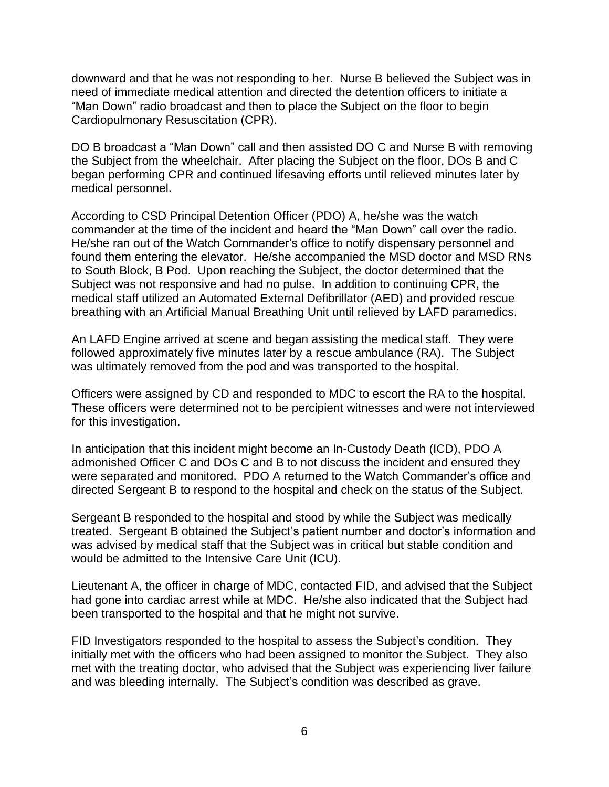downward and that he was not responding to her. Nurse B believed the Subject was in need of immediate medical attention and directed the detention officers to initiate a "Man Down" radio broadcast and then to place the Subject on the floor to begin Cardiopulmonary Resuscitation (CPR).

DO B broadcast a "Man Down" call and then assisted DO C and Nurse B with removing the Subject from the wheelchair. After placing the Subject on the floor, DOs B and C began performing CPR and continued lifesaving efforts until relieved minutes later by medical personnel.

According to CSD Principal Detention Officer (PDO) A, he/she was the watch commander at the time of the incident and heard the "Man Down" call over the radio. He/she ran out of the Watch Commander's office to notify dispensary personnel and found them entering the elevator. He/she accompanied the MSD doctor and MSD RNs to South Block, B Pod. Upon reaching the Subject, the doctor determined that the Subject was not responsive and had no pulse. In addition to continuing CPR, the medical staff utilized an Automated External Defibrillator (AED) and provided rescue breathing with an Artificial Manual Breathing Unit until relieved by LAFD paramedics.

An LAFD Engine arrived at scene and began assisting the medical staff. They were followed approximately five minutes later by a rescue ambulance (RA). The Subject was ultimately removed from the pod and was transported to the hospital.

Officers were assigned by CD and responded to MDC to escort the RA to the hospital. These officers were determined not to be percipient witnesses and were not interviewed for this investigation.

In anticipation that this incident might become an In-Custody Death (ICD), PDO A admonished Officer C and DOs C and B to not discuss the incident and ensured they were separated and monitored. PDO A returned to the Watch Commander's office and directed Sergeant B to respond to the hospital and check on the status of the Subject.

Sergeant B responded to the hospital and stood by while the Subject was medically treated. Sergeant B obtained the Subject's patient number and doctor's information and was advised by medical staff that the Subject was in critical but stable condition and would be admitted to the Intensive Care Unit (ICU).

Lieutenant A, the officer in charge of MDC, contacted FID, and advised that the Subject had gone into cardiac arrest while at MDC. He/she also indicated that the Subject had been transported to the hospital and that he might not survive.

FID Investigators responded to the hospital to assess the Subject's condition. They initially met with the officers who had been assigned to monitor the Subject. They also met with the treating doctor, who advised that the Subject was experiencing liver failure and was bleeding internally. The Subject's condition was described as grave.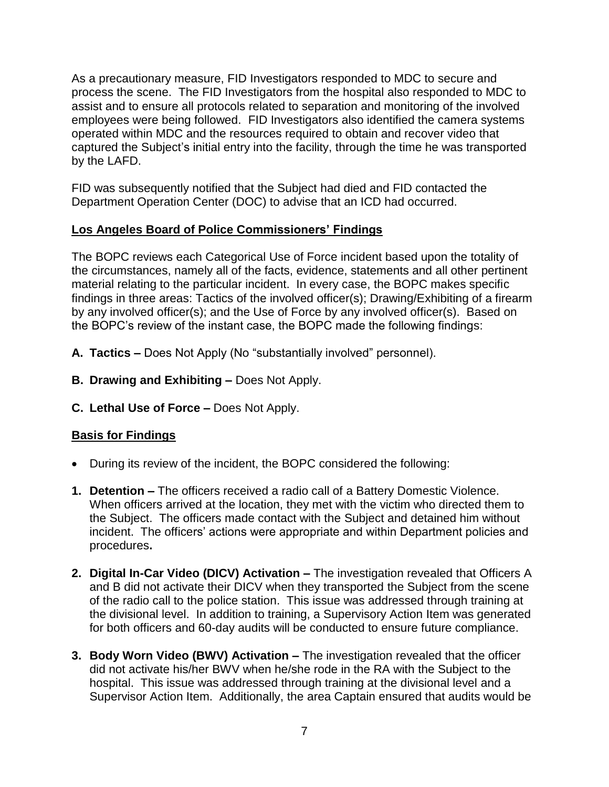As a precautionary measure, FID Investigators responded to MDC to secure and process the scene. The FID Investigators from the hospital also responded to MDC to assist and to ensure all protocols related to separation and monitoring of the involved employees were being followed. FID Investigators also identified the camera systems operated within MDC and the resources required to obtain and recover video that captured the Subject's initial entry into the facility, through the time he was transported by the LAFD.

FID was subsequently notified that the Subject had died and FID contacted the Department Operation Center (DOC) to advise that an ICD had occurred.

## **Los Angeles Board of Police Commissioners' Findings**

The BOPC reviews each Categorical Use of Force incident based upon the totality of the circumstances, namely all of the facts, evidence, statements and all other pertinent material relating to the particular incident. In every case, the BOPC makes specific findings in three areas: Tactics of the involved officer(s); Drawing/Exhibiting of a firearm by any involved officer(s); and the Use of Force by any involved officer(s). Based on the BOPC's review of the instant case, the BOPC made the following findings:

- **A. Tactics –** Does Not Apply (No "substantially involved" personnel).
- **B. Drawing and Exhibiting –** Does Not Apply.
- **C. Lethal Use of Force –** Does Not Apply.

## **Basis for Findings**

- During its review of the incident, the BOPC considered the following:
- **1. Detention –** The officers received a radio call of a Battery Domestic Violence. When officers arrived at the location, they met with the victim who directed them to the Subject. The officers made contact with the Subject and detained him without incident. The officers' actions were appropriate and within Department policies and procedures**.**
- **2. Digital In-Car Video (DICV) Activation –** The investigation revealed that Officers A and B did not activate their DICV when they transported the Subject from the scene of the radio call to the police station. This issue was addressed through training at the divisional level. In addition to training, a Supervisory Action Item was generated for both officers and 60-day audits will be conducted to ensure future compliance.
- **3. Body Worn Video (BWV) Activation –** The investigation revealed that the officer did not activate his/her BWV when he/she rode in the RA with the Subject to the hospital. This issue was addressed through training at the divisional level and a Supervisor Action Item. Additionally, the area Captain ensured that audits would be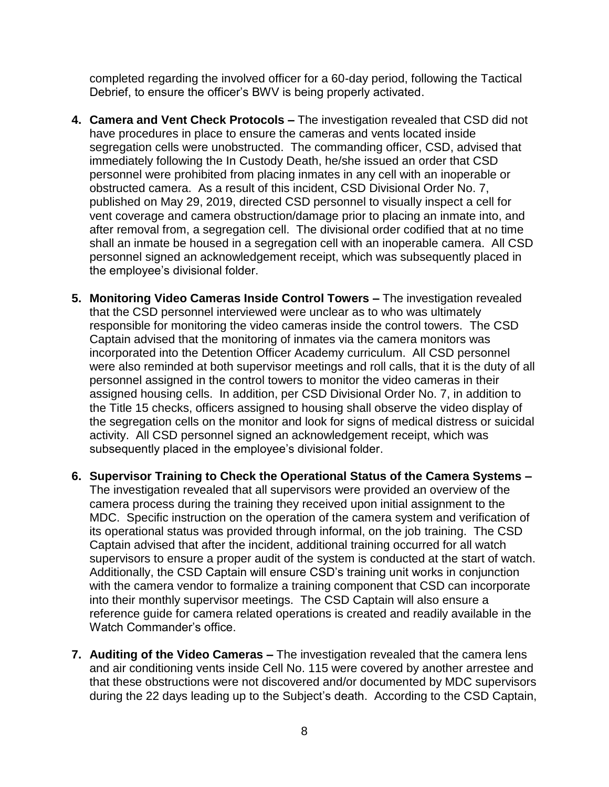completed regarding the involved officer for a 60-day period, following the Tactical Debrief, to ensure the officer's BWV is being properly activated.

- **4. Camera and Vent Check Protocols –** The investigation revealed that CSD did not have procedures in place to ensure the cameras and vents located inside segregation cells were unobstructed. The commanding officer, CSD, advised that immediately following the In Custody Death, he/she issued an order that CSD personnel were prohibited from placing inmates in any cell with an inoperable or obstructed camera. As a result of this incident, CSD Divisional Order No. 7, published on May 29, 2019, directed CSD personnel to visually inspect a cell for vent coverage and camera obstruction/damage prior to placing an inmate into, and after removal from, a segregation cell. The divisional order codified that at no time shall an inmate be housed in a segregation cell with an inoperable camera. All CSD personnel signed an acknowledgement receipt, which was subsequently placed in the employee's divisional folder.
- **5. Monitoring Video Cameras Inside Control Towers –** The investigation revealed that the CSD personnel interviewed were unclear as to who was ultimately responsible for monitoring the video cameras inside the control towers. The CSD Captain advised that the monitoring of inmates via the camera monitors was incorporated into the Detention Officer Academy curriculum. All CSD personnel were also reminded at both supervisor meetings and roll calls, that it is the duty of all personnel assigned in the control towers to monitor the video cameras in their assigned housing cells. In addition, per CSD Divisional Order No. 7, in addition to the Title 15 checks, officers assigned to housing shall observe the video display of the segregation cells on the monitor and look for signs of medical distress or suicidal activity. All CSD personnel signed an acknowledgement receipt, which was subsequently placed in the employee's divisional folder.
- **6. Supervisor Training to Check the Operational Status of the Camera Systems –** The investigation revealed that all supervisors were provided an overview of the camera process during the training they received upon initial assignment to the MDC. Specific instruction on the operation of the camera system and verification of its operational status was provided through informal, on the job training. The CSD Captain advised that after the incident, additional training occurred for all watch supervisors to ensure a proper audit of the system is conducted at the start of watch. Additionally, the CSD Captain will ensure CSD's training unit works in conjunction with the camera vendor to formalize a training component that CSD can incorporate into their monthly supervisor meetings. The CSD Captain will also ensure a reference guide for camera related operations is created and readily available in the Watch Commander's office.
- **7. Auditing of the Video Cameras –** The investigation revealed that the camera lens and air conditioning vents inside Cell No. 115 were covered by another arrestee and that these obstructions were not discovered and/or documented by MDC supervisors during the 22 days leading up to the Subject's death.According to the CSD Captain,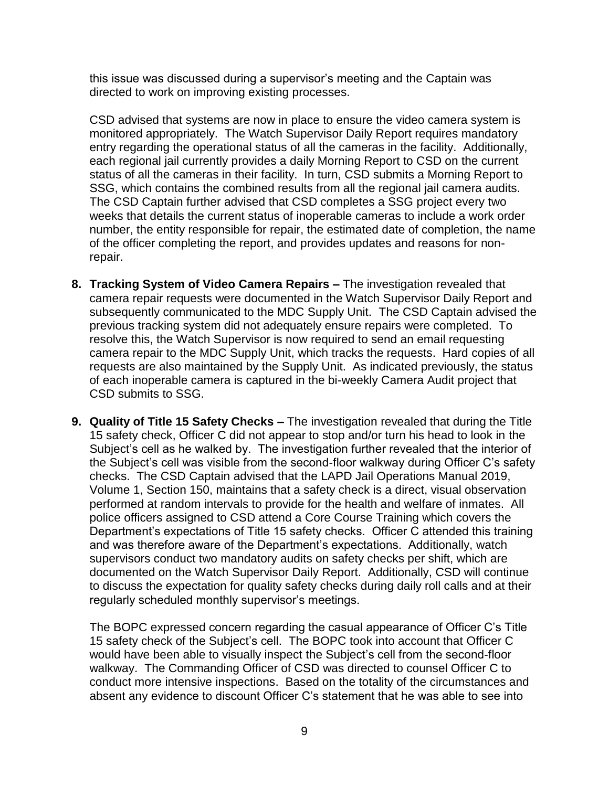this issue was discussed during a supervisor's meeting and the Captain was directed to work on improving existing processes.

CSD advised that systems are now in place to ensure the video camera system is monitored appropriately. The Watch Supervisor Daily Report requires mandatory entry regarding the operational status of all the cameras in the facility. Additionally, each regional jail currently provides a daily Morning Report to CSD on the current status of all the cameras in their facility. In turn, CSD submits a Morning Report to SSG, which contains the combined results from all the regional jail camera audits. The CSD Captain further advised that CSD completes a SSG project every two weeks that details the current status of inoperable cameras to include a work order number, the entity responsible for repair, the estimated date of completion, the name of the officer completing the report, and provides updates and reasons for nonrepair.

- **8. Tracking System of Video Camera Repairs –** The investigation revealed that camera repair requests were documented in the Watch Supervisor Daily Report and subsequently communicated to the MDC Supply Unit. The CSD Captain advised the previous tracking system did not adequately ensure repairs were completed. To resolve this, the Watch Supervisor is now required to send an email requesting camera repair to the MDC Supply Unit, which tracks the requests. Hard copies of all requests are also maintained by the Supply Unit. As indicated previously, the status of each inoperable camera is captured in the bi-weekly Camera Audit project that CSD submits to SSG.
- **9. Quality of Title 15 Safety Checks –** The investigation revealed that during the Title 15 safety check, Officer C did not appear to stop and/or turn his head to look in the Subject's cell as he walked by. The investigation further revealed that the interior of the Subject's cell was visible from the second-floor walkway during Officer C's safety checks. The CSD Captain advised that the LAPD Jail Operations Manual 2019, Volume 1, Section 150, maintains that a safety check is a direct, visual observation performed at random intervals to provide for the health and welfare of inmates. All police officers assigned to CSD attend a Core Course Training which covers the Department's expectations of Title 15 safety checks. Officer C attended this training and was therefore aware of the Department's expectations. Additionally, watch supervisors conduct two mandatory audits on safety checks per shift, which are documented on the Watch Supervisor Daily Report. Additionally, CSD will continue to discuss the expectation for quality safety checks during daily roll calls and at their regularly scheduled monthly supervisor's meetings.

The BOPC expressed concern regarding the casual appearance of Officer C's Title 15 safety check of the Subject's cell. The BOPC took into account that Officer C would have been able to visually inspect the Subject's cell from the second-floor walkway. The Commanding Officer of CSD was directed to counsel Officer C to conduct more intensive inspections. Based on the totality of the circumstances and absent any evidence to discount Officer C's statement that he was able to see into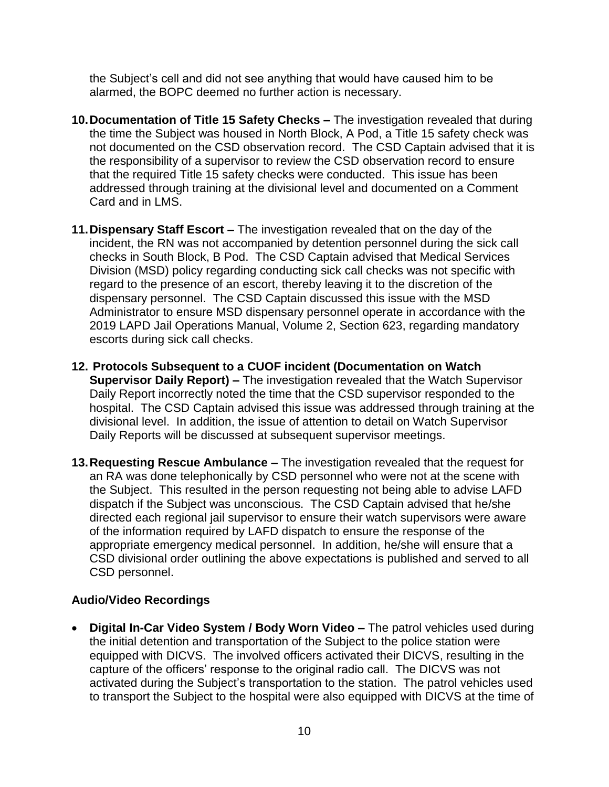the Subject's cell and did not see anything that would have caused him to be alarmed, the BOPC deemed no further action is necessary.

- **10.Documentation of Title 15 Safety Checks –** The investigation revealed that during the time the Subject was housed in North Block, A Pod, a Title 15 safety check was not documented on the CSD observation record. The CSD Captain advised that it is the responsibility of a supervisor to review the CSD observation record to ensure that the required Title 15 safety checks were conducted. This issue has been addressed through training at the divisional level and documented on a Comment Card and in LMS.
- **11.Dispensary Staff Escort –** The investigation revealed that on the day of the incident, the RN was not accompanied by detention personnel during the sick call checks in South Block, B Pod. The CSD Captain advised that Medical Services Division (MSD) policy regarding conducting sick call checks was not specific with regard to the presence of an escort, thereby leaving it to the discretion of the dispensary personnel. The CSD Captain discussed this issue with the MSD Administrator to ensure MSD dispensary personnel operate in accordance with the 2019 LAPD Jail Operations Manual, Volume 2, Section 623, regarding mandatory escorts during sick call checks.
- **12. Protocols Subsequent to a CUOF incident (Documentation on Watch Supervisor Daily Report) –** The investigation revealed that the Watch Supervisor Daily Report incorrectly noted the time that the CSD supervisor responded to the hospital. The CSD Captain advised this issue was addressed through training at the divisional level. In addition, the issue of attention to detail on Watch Supervisor Daily Reports will be discussed at subsequent supervisor meetings.
- **13.Requesting Rescue Ambulance –** The investigation revealed that the request for an RA was done telephonically by CSD personnel who were not at the scene with the Subject. This resulted in the person requesting not being able to advise LAFD dispatch if the Subject was unconscious. The CSD Captain advised that he/she directed each regional jail supervisor to ensure their watch supervisors were aware of the information required by LAFD dispatch to ensure the response of the appropriate emergency medical personnel. In addition, he/she will ensure that a CSD divisional order outlining the above expectations is published and served to all CSD personnel.

## **Audio/Video Recordings**

• **Digital In-Car Video System / Body Worn Video –** The patrol vehicles used during the initial detention and transportation of the Subject to the police station were equipped with DICVS. The involved officers activated their DICVS, resulting in the capture of the officers' response to the original radio call. The DICVS was not activated during the Subject's transportation to the station. The patrol vehicles used to transport the Subject to the hospital were also equipped with DICVS at the time of